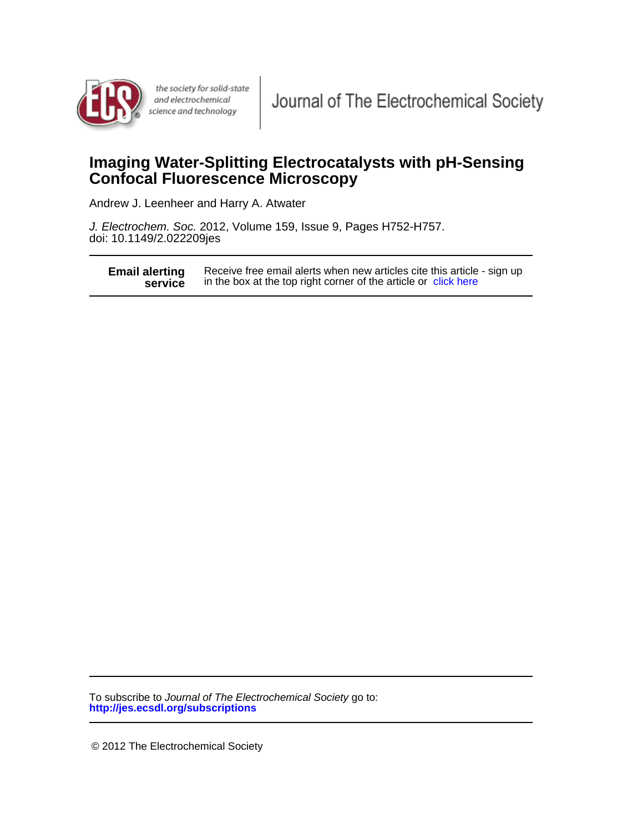

the society for solid-state and electrochemical science and technology

# **Confocal Fluorescence Microscopy Imaging Water-Splitting Electrocatalysts with pH-Sensing**

Andrew J. Leenheer and Harry A. Atwater

doi: 10.1149/2.022209jes J. Electrochem. Soc. 2012, Volume 159, Issue 9, Pages H752-H757.

**service Email alerting** Receive free email alerts when new articles cite this article service in the box at the top right corner of the article or [click here](http://jes.ecsdl.org/cgi/alerts/ctalert?alertType=citedby&addAlert=cited_by&saveAlert=no&cited_by_criteria_resid=jes;159/9/H752&return_type=article&return_url=http://jes.ecsdl.org/content/159/9/H752) Receive free email alerts when new articles cite this article - sign up

**http://jes.ecsdl.org/subscriptions** To subscribe to Journal of The Electrochemical Society go to:

© 2012 The Electrochemical Society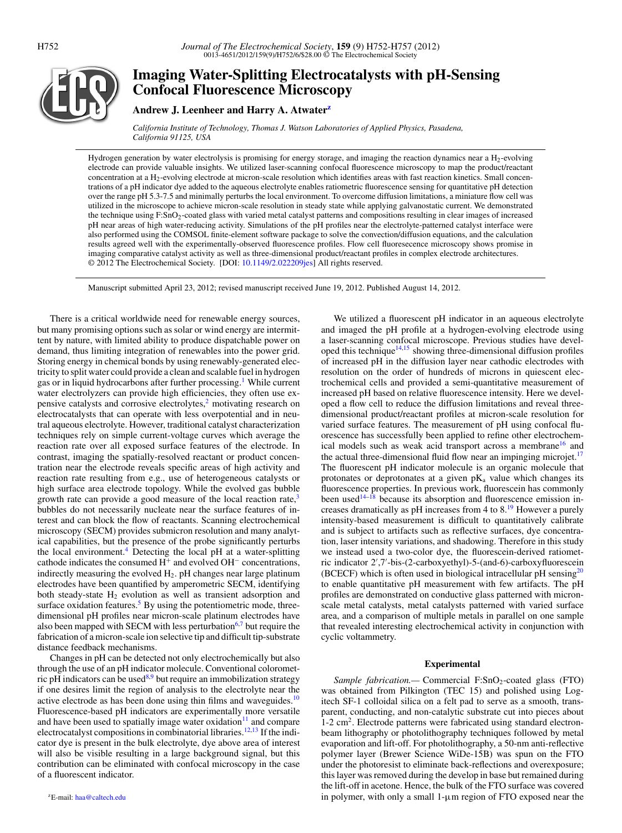

## **Imaging Water-Splitting Electrocatalysts with pH-Sensing Confocal Fluorescence Microscopy**

### **Andrew J. Leenheer and Harry A. Atwate[rz](#page-1-0)**

*California Institute of Technology, Thomas J. Watson Laboratories of Applied Physics, Pasadena, California 91125, USA*

Hydrogen generation by water electrolysis is promising for energy storage, and imaging the reaction dynamics near a  $H_2$ -evolving electrode can provide valuable insights. We utilized laser-scanning confocal fluorescence microscopy to map the product/reactant concentration at a H2-evolving electrode at micron-scale resolution which identifies areas with fast reaction kinetics. Small concentrations of a pH indicator dye added to the aqueous electrolyte enables ratiometric fluorescence sensing for quantitative pH detection over the range pH 5.3-7.5 and minimally perturbs the local environment. To overcome diffusion limitations, a miniature flow cell was utilized in the microscope to achieve micron-scale resolution in steady state while applying galvanostatic current. We demonstrated the technique using F:SnO2-coated glass with varied metal catalyst patterns and compositions resulting in clear images of increased pH near areas of high water-reducing activity. Simulations of the pH profiles near the electrolyte-patterned catalyst interface were also performed using the COMSOL finite-element software package to solve the convection/diffusion equations, and the calculation results agreed well with the experimentally-observed fluorescence profiles. Flow cell fluoresecence microscopy shows promise in imaging comparative catalyst activity as well as three-dimensional product/reactant profiles in complex electrode architectures. © 2012 The Electrochemical Society. [DOI: [10.1149/2.022209jes\]](http://dx.doi.org/10.1149/2.022209jes) All rights reserved.

Manuscript submitted April 23, 2012; revised manuscript received June 19, 2012. Published August 14, 2012.

There is a critical worldwide need for renewable energy sources, but many promising options such as solar or wind energy are intermittent by nature, with limited ability to produce dispatchable power on demand, thus limiting integration of renewables into the power grid. Storing energy in chemical bonds by using renewably-generated electricity to split water could provide a clean and scalable fuel in hydrogen gas or in liquid hydrocarbons after further processing.<sup>1</sup> While current water electrolyzers can provide high efficiencies, they often use expensive catalysts and corrosive electrolytes, $\frac{2}{3}$  motivating research on electrocatalysts that can operate with less overpotential and in neutral aqueous electrolyte. However, traditional catalyst characterization techniques rely on simple current-voltage curves which average the reaction rate over all exposed surface features of the electrode. In contrast, imaging the spatially-resolved reactant or product concentration near the electrode reveals specific areas of high activity and reaction rate resulting from e.g., use of heterogeneous catalysts or high surface area electrode topology. While the evolved gas bubble growth rate can provide a good measure of the local reaction rate, $3$ bubbles do not necessarily nucleate near the surface features of interest and can block the flow of reactants. Scanning electrochemical microscopy (SECM) provides submicron resolution and many analytical capabilities, but the presence of the probe significantly perturbs the local environment.<sup>4</sup> Detecting the local  $pH$  at a water-splitting cathode indicates the consumed H<sup>+</sup> and evolved OH<sup>−</sup> concentrations, indirectly measuring the evolved  $H_2$ . pH changes near large platinum electrodes have been quantified by amperometric SECM, identifying both steady-state  $H_2$  evolution as well as transient adsorption and surface oxidation features.<sup>5</sup> By using the potentiometric mode, threedimensional pH profiles near micron-scale platinum electrodes have also been mapped with SECM with less perturbation<sup>6,[7](#page-5-6)</sup> but require the fabrication of a micron-scale ion selective tip and difficult tip-substrate distance feedback mechanisms.

<span id="page-1-0"></span>Changes in pH can be detected not only electrochemically but also through the use of an pH indicator molecule. Conventional coloromet-ric pH indicators can be used<sup>[8,](#page-5-7)[9](#page-5-8)</sup> but require an immobilization strategy if one desires limit the region of analysis to the electrolyte near the active electrode as has been done using thin films and waveguides. $10$ Fluorescence-based pH indicators are experimentally more versatile and have been used to spatially image water oxidation $11$  and compare electrocatalyst compositions in combinatorial libraries.<sup>12,[13](#page-6-3)</sup> If the indicator dye is present in the bulk electrolyte, dye above area of interest will also be visible resulting in a large background signal, but this contribution can be eliminated with confocal microscopy in the case of a fluorescent indicator.

We utilized a fluorescent pH indicator in an aqueous electrolyte and imaged the pH profile at a hydrogen-evolving electrode using a laser-scanning confocal microscope. Previous studies have devel-oped this technique<sup>14[,15](#page-6-5)</sup> showing three-dimensional diffusion profiles of increased pH in the diffusion layer near cathodic electrodes with resolution on the order of hundreds of microns in quiescent electrochemical cells and provided a semi-quantitative measurement of increased pH based on relative fluorescence intensity. Here we developed a flow cell to reduce the diffusion limitations and reveal threedimensional product/reactant profiles at micron-scale resolution for varied surface features. The measurement of pH using confocal fluorescence has successfully been applied to refine other electrochemical models such as weak acid transport across a membrane<sup>16</sup> and the actual three-dimensional fluid flow near an impinging microjet.<sup>[17](#page-6-7)</sup> The fluorescent pH indicator molecule is an organic molecule that protonates or deprotonates at a given  $pK_a$  value which changes its fluorescence properties. In previous work, fluorescein has commonly been used<sup>[14](#page-6-4)[–18](#page-6-8)</sup> because its absorption and fluorescence emission increases dramatically as pH increases from 4 to  $8<sup>19</sup>$  $8<sup>19</sup>$  $8<sup>19</sup>$  However a purely intensity-based measurement is difficult to quantitatively calibrate and is subject to artifacts such as reflective surfaces, dye concentration, laser intensity variations, and shadowing. Therefore in this study we instead used a two-color dye, the fluorescein-derived ratiometric indicator 2',7'-bis-(2-carboxyethyl)-5-(and-6)-carboxyfluorescein (BCECF) which is often used in biological intracellular  $pH$  sensing<sup>20</sup> to enable quantitative pH measurement with few artifacts. The pH profiles are demonstrated on conductive glass patterned with micronscale metal catalysts, metal catalysts patterned with varied surface area, and a comparison of multiple metals in parallel on one sample that revealed interesting electrochemical activity in conjunction with cyclic voltammetry.

#### **Experimental**

*Sample fabrication.*— Commercial F:SnO<sub>2</sub>-coated glass (FTO) was obtained from Pilkington (TEC 15) and polished using Logitech SF-1 colloidal silica on a felt pad to serve as a smooth, transparent, conducting, and non-catalytic substrate cut into pieces about 1-2 cm2. Electrode patterns were fabricated using standard electronbeam lithography or photolithography techniques followed by metal evaporation and lift-off. For photolithography, a 50-nm anti-reflective polymer layer (Brewer Science WiDe-15B) was spun on the FTO under the photoresist to eliminate back-reflections and overexposure; this layer was removed during the develop in base but remained during the lift-off in acetone. Hence, the bulk of the FTO surface was covered in polymer, with only a small 1-μm region of FTO exposed near the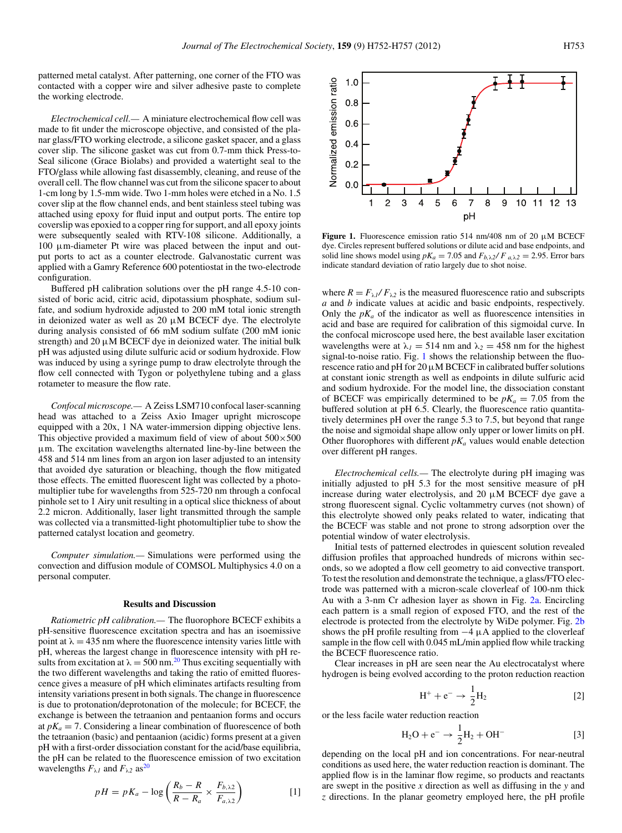patterned metal catalyst. After patterning, one corner of the FTO was contacted with a copper wire and silver adhesive paste to complete the working electrode.

*Electrochemical cell.—* A miniature electrochemical flow cell was made to fit under the microscope objective, and consisted of the planar glass/FTO working electrode, a silicone gasket spacer, and a glass cover slip. The silicone gasket was cut from 0.7-mm thick Press-to-Seal silicone (Grace Biolabs) and provided a watertight seal to the FTO/glass while allowing fast disassembly, cleaning, and reuse of the overall cell. The flow channel was cut from the silicone spacer to about 1-cm long by 1.5-mm wide. Two 1-mm holes were etched in a No. 1.5 cover slip at the flow channel ends, and bent stainless steel tubing was attached using epoxy for fluid input and output ports. The entire top coverslip was epoxied to a copper ring for support, and all epoxy joints were subsequently sealed with RTV-108 silicone. Additionally, a 100 μm-diameter Pt wire was placed between the input and output ports to act as a counter electrode. Galvanostatic current was applied with a Gamry Reference 600 potentiostat in the two-electrode configuration.

Buffered pH calibration solutions over the pH range 4.5-10 consisted of boric acid, citric acid, dipotassium phosphate, sodium sulfate, and sodium hydroxide adjusted to 200 mM total ionic strength in deionized water as well as  $20 \mu M$  BCECF dye. The electrolyte during analysis consisted of 66 mM sodium sulfate (200 mM ionic strength) and 20  $\mu$ M BCECF dye in deionized water. The initial bulk pH was adjusted using dilute sulfuric acid or sodium hydroxide. Flow was induced by using a syringe pump to draw electrolyte through the flow cell connected with Tygon or polyethylene tubing and a glass rotameter to measure the flow rate.

*Confocal microscope.—* A Zeiss LSM710 confocal laser-scanning head was attached to a Zeiss Axio Imager upright microscope equipped with a 20x, 1 NA water-immersion dipping objective lens. This objective provided a maximum field of view of about  $500 \times 500$ μm. The excitation wavelengths alternated line-by-line between the 458 and 514 nm lines from an argon ion laser adjusted to an intensity that avoided dye saturation or bleaching, though the flow mitigated those effects. The emitted fluorescent light was collected by a photomultiplier tube for wavelengths from 525-720 nm through a confocal pinhole set to 1 Airy unit resulting in a optical slice thickness of about 2.2 micron. Additionally, laser light transmitted through the sample was collected via a transmitted-light photomultiplier tube to show the patterned catalyst location and geometry.

*Computer simulation.—* Simulations were performed using the convection and diffusion module of COMSOL Multiphysics 4.0 on a personal computer.

#### **Results and Discussion**

*Ratiometric pH calibration.—* The fluorophore BCECF exhibits a pH-sensitive fluorescence excitation spectra and has an isoemissive point at  $\lambda = 435$  nm where the fluorescence intensity varies little with pH, whereas the largest change in fluorescence intensity with pH results from excitation at  $\lambda = 500$  nm.<sup>20</sup> Thus exciting sequentially with the two different wavelengths and taking the ratio of emitted fluorescence gives a measure of pH which eliminates artifacts resulting from intensity variations present in both signals. The change in fluorescence is due to protonation/deprotonation of the molecule; for BCECF, the exchange is between the tetraanion and pentaanion forms and occurs at  $pK_a = 7$ . Considering a linear combination of fluorescence of both the tetraanion (basic) and pentaanion (acidic) forms present at a given pH with a first-order dissociation constant for the acid/base equilibria, the pH can be related to the fluorescence emission of two excitation wavelengths  $F_{\lambda I}$  and  $F_{\lambda 2}$  as<sup>[20](#page-6-10)</sup>

$$
pH = pK_a - \log\left(\frac{R_b - R}{R - R_a} \times \frac{F_{b,\lambda 2}}{F_{a,\lambda 2}}\right)
$$
 [1]

<span id="page-2-0"></span>

**Figure 1.** Fluorescence emission ratio 514 nm/408 nm of 20 μM BCECF dye. Circles represent buffered solutions or dilute acid and base endpoints, and solid line shows model using  $pK_a = 7.05$  and  $F_{b,\lambda}$ <sub>2</sub>/  $F_{a,\lambda}$ <sub>2</sub> = 2.95. Error bars indicate standard deviation of ratio largely due to shot noise.

where  $R = F_{\lambda l}/F_{\lambda 2}$  is the measured fluorescence ratio and subscripts *a* and *b* indicate values at acidic and basic endpoints, respectively. Only the  $pK_a$  of the indicator as well as fluorescence intensities in acid and base are required for calibration of this sigmoidal curve. In the confocal microscope used here, the best available laser excitation wavelengths were at  $\lambda_1 = 514$  nm and  $\lambda_2 = 458$  nm for the highest signal-to-noise ratio. Fig. [1](#page-2-0) shows the relationship between the fluorescence ratio and  $pH$  for 20  $\mu$ M BCECF in calibrated buffer solutions at constant ionic strength as well as endpoints in dilute sulfuric acid and sodium hydroxide. For the model line, the dissociation constant of BCECF was empirically determined to be  $pK_a = 7.05$  from the buffered solution at pH 6.5. Clearly, the fluorescence ratio quantitatively determines pH over the range 5.3 to 7.5, but beyond that range the noise and sigmoidal shape allow only upper or lower limits on pH. Other fluorophores with different  $pK_a$  values would enable detection over different pH ranges.

*Electrochemical cells.—* The electrolyte during pH imaging was initially adjusted to pH 5.3 for the most sensitive measure of pH increase during water electrolysis, and  $20 \mu M$  BCECF dye gave a strong fluorescent signal. Cyclic voltammetry curves (not shown) of this electrolyte showed only peaks related to water, indicating that the BCECF was stable and not prone to strong adsorption over the potential window of water electrolysis.

Initial tests of patterned electrodes in quiescent solution revealed diffusion profiles that approached hundreds of microns within seconds, so we adopted a flow cell geometry to aid convective transport. To test the resolution and demonstrate the technique, a glass/FTO electrode was patterned with a micron-scale cloverleaf of 100-nm thick Au with a 3-nm Cr adhesion layer as shown in Fig. [2a.](#page-3-0) Encircling each pattern is a small region of exposed FTO, and the rest of the electrode is protected from the electrolyte by WiDe polymer. Fig. [2b](#page-3-0) shows the pH profile resulting from  $-4 \mu A$  applied to the cloverleaf sample in the flow cell with 0.045 mL/min applied flow while tracking the BCECF fluorescence ratio.

Clear increases in pH are seen near the Au electrocatalyst where hydrogen is being evolved according to the proton reduction reaction

<span id="page-2-1"></span>
$$
H^{+} + e^{-} \rightarrow \frac{1}{2}H_{2}
$$
 [2]

or the less facile water reduction reaction

$$
H_2O + e^- \to \frac{1}{2}H_2 + OH^-
$$
 [3]

depending on the local pH and ion concentrations. For near-neutral conditions as used here, the water reduction reaction is dominant. The applied flow is in the laminar flow regime, so products and reactants are swept in the positive *x* direction as well as diffusing in the *y* and *z* directions. In the planar geometry employed here, the pH profile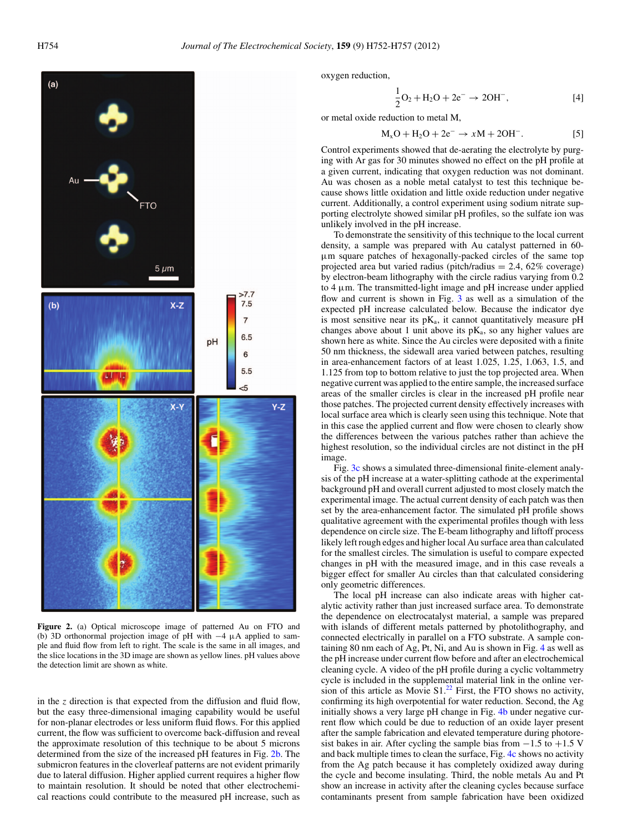<span id="page-3-0"></span>

**Figure 2.** (a) Optical microscope image of patterned Au on FTO and (b) 3D orthonormal projection image of pH with −4 μA applied to sample and fluid flow from left to right. The scale is the same in all images, and the slice locations in the 3D image are shown as yellow lines. pH values above the detection limit are shown as white.

in the *z* direction is that expected from the diffusion and fluid flow, but the easy three-dimensional imaging capability would be useful for non-planar electrodes or less uniform fluid flows. For this applied current, the flow was sufficient to overcome back-diffusion and reveal the approximate resolution of this technique to be about 5 microns determined from the size of the increased pH features in Fig. [2b.](#page-3-0) The submicron features in the cloverleaf patterns are not evident primarily due to lateral diffusion. Higher applied current requires a higher flow to maintain resolution. It should be noted that other electrochemical reactions could contribute to the measured pH increase, such as oxygen reduction,

$$
\frac{1}{2}O_2 + H_2O + 2e^- \to 2OH^-,
$$
 [4]

or metal oxide reduction to metal M,

$$
M_xO + H_2O + 2e^- \rightarrow xM + 2OH^-.
$$
 [5]

Control experiments showed that de-aerating the electrolyte by purging with Ar gas for 30 minutes showed no effect on the pH profile at a given current, indicating that oxygen reduction was not dominant. Au was chosen as a noble metal catalyst to test this technique because shows little oxidation and little oxide reduction under negative current. Additionally, a control experiment using sodium nitrate supporting electrolyte showed similar pH profiles, so the sulfate ion was unlikely involved in the pH increase.

To demonstrate the sensitivity of this technique to the local current density, a sample was prepared with Au catalyst patterned in 60 μm square patches of hexagonally-packed circles of the same top projected area but varied radius (pitch/radius  $= 2.4, 62\%$  coverage) by electron-beam lithography with the circle radius varying from 0.2 to 4 μm. The transmitted-light image and pH increase under applied flow and current is shown in Fig. [3](#page-4-0) as well as a simulation of the expected pH increase calculated below. Because the indicator dye is most sensitive near its  $pK_a$ , it cannot quantitatively measure  $pH$ changes above about 1 unit above its  $pK_a$ , so any higher values are shown here as white. Since the Au circles were deposited with a finite 50 nm thickness, the sidewall area varied between patches, resulting in area-enhancement factors of at least 1.025, 1.25, 1.063, 1.5, and 1.125 from top to bottom relative to just the top projected area. When negative current was applied to the entire sample, the increased surface areas of the smaller circles is clear in the increased pH profile near those patches. The projected current density effectively increases with local surface area which is clearly seen using this technique. Note that in this case the applied current and flow were chosen to clearly show the differences between the various patches rather than achieve the highest resolution, so the individual circles are not distinct in the pH image.

Fig. [3c](#page-4-0) shows a simulated three-dimensional finite-element analysis of the pH increase at a water-splitting cathode at the experimental background pH and overall current adjusted to most closely match the experimental image. The actual current density of each patch was then set by the area-enhancement factor. The simulated pH profile shows qualitative agreement with the experimental profiles though with less dependence on circle size. The E-beam lithography and liftoff process likely left rough edges and higher local Au surface area than calculated for the smallest circles. The simulation is useful to compare expected changes in pH with the measured image, and in this case reveals a bigger effect for smaller Au circles than that calculated considering only geometric differences.

The local pH increase can also indicate areas with higher catalytic activity rather than just increased surface area. To demonstrate the dependence on electrocatalyst material, a sample was prepared with islands of different metals patterned by photolithography, and connected electrically in parallel on a FTO substrate. A sample containing 80 nm each of Ag, Pt, Ni, and Au is shown in Fig. [4](#page-4-1) as well as the pH increase under current flow before and after an electrochemical cleaning cycle. A video of the pH profile during a cyclic voltammetry cycle is included in the supplemental material link in the online version of this article as Movie  $S1<sup>22</sup>$  First, the FTO shows no activity, confirming its high overpotential for water reduction. Second, the Ag initially shows a very large pH change in Fig. [4b](#page-4-1) under negative current flow which could be due to reduction of an oxide layer present after the sample fabrication and elevated temperature during photoresist bakes in air. After cycling the sample bias from  $-1.5$  to  $+1.5$  V and back multiple times to clean the surface, Fig. [4c](#page-4-1) shows no activity from the Ag patch because it has completely oxidized away during the cycle and become insulating. Third, the noble metals Au and Pt show an increase in activity after the cleaning cycles because surface contaminants present from sample fabrication have been oxidized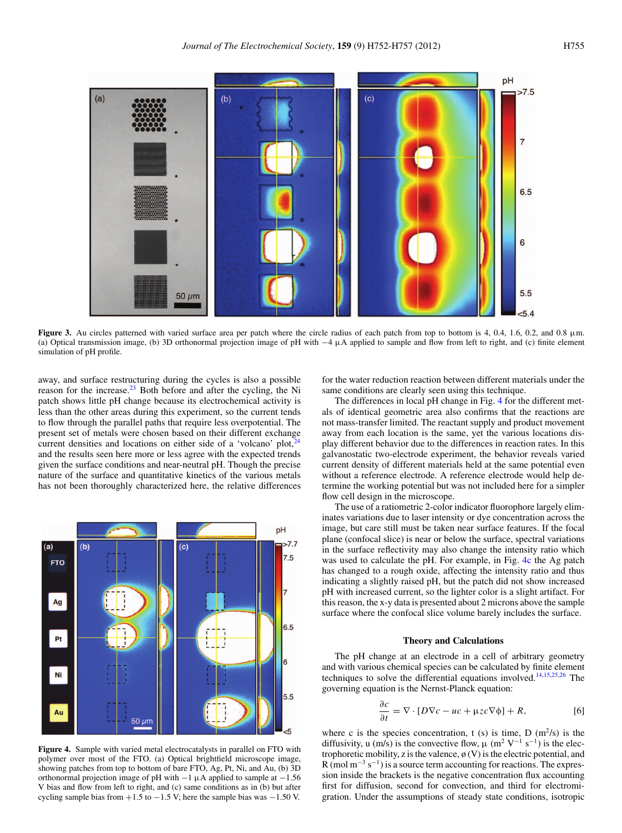<span id="page-4-0"></span>

**Figure 3.** Au circles patterned with varied surface area per patch where the circle radius of each patch from top to bottom is 4, 0.4, 1.6, 0.2, and 0.8 μm. (a) Optical transmission image, (b) 3D orthonormal projection image of pH with  $-4 \mu A$  applied to sample and flow from left to right, and (c) finite element simulation of pH profile.

away, and surface restructuring during the cycles is also a possible reason for the increase. $^{23}$  Both before and after the cycling, the Ni patch shows little pH change because its electrochemical activity is less than the other areas during this experiment, so the current tends to flow through the parallel paths that require less overpotential. The present set of metals were chosen based on their different exchange current densities and locations on either side of a 'volcano' plot, $\frac{2}{3}$ and the results seen here more or less agree with the expected trends given the surface conditions and near-neutral pH. Though the precise nature of the surface and quantitative kinetics of the various metals has not been thoroughly characterized here, the relative differences

<span id="page-4-1"></span>

**Figure 4.** Sample with varied metal electrocatalysts in parallel on FTO with polymer over most of the FTO. (a) Optical brightfield microscope image, showing patches from top to bottom of bare FTO, Ag, Pt, Ni, and Au, (b) 3D orthonormal projection image of pH with  $-1 \mu A$  applied to sample at  $-1.56$ V bias and flow from left to right, and (c) same conditions as in (b) but after cycling sample bias from  $+1.5$  to  $-1.5$  V; here the sample bias was  $-1.50$  V.

for the water reduction reaction between different materials under the same conditions are clearly seen using this technique.

The differences in local pH change in Fig. [4](#page-4-1) for the different metals of identical geometric area also confirms that the reactions are not mass-transfer limited. The reactant supply and product movement away from each location is the same, yet the various locations display different behavior due to the differences in reaction rates. In this galvanostatic two-electrode experiment, the behavior reveals varied current density of different materials held at the same potential even without a reference electrode. A reference electrode would help determine the working potential but was not included here for a simpler flow cell design in the microscope.

The use of a ratiometric 2-color indicator fluorophore largely eliminates variations due to laser intensity or dye concentration across the image, but care still must be taken near surface features. If the focal plane (confocal slice) is near or below the surface, spectral variations in the surface reflectivity may also change the intensity ratio which was used to calculate the pH. For example, in Fig. [4c](#page-4-1) the Ag patch has changed to a rough oxide, affecting the intensity ratio and thus indicating a slightly raised pH, but the patch did not show increased pH with increased current, so the lighter color is a slight artifact. For this reason, the x-y data is presented about 2 microns above the sample surface where the confocal slice volume barely includes the surface.

#### **Theory and Calculations**

The pH change at an electrode in a cell of arbitrary geometry and with various chemical species can be calculated by finite element techniques to solve the differential equations involved.[14](#page-6-4)[,15](#page-6-5)[,25](#page-6-14)[,26](#page-6-15) The governing equation is the Nernst-Planck equation:

$$
\frac{\partial c}{\partial t} = \nabla \cdot [D\nabla c - uc + \mu z c \nabla \phi] + R, \tag{6}
$$

where c is the species concentration, t (s) is time, D  $(m^2/s)$  is the diffusivity, u (m/s) is the convective flow,  $\mu$  (m<sup>2</sup> V<sup>-1</sup> s<sup>-1</sup>) is the electrophoretic mobility, z is the valence,  $\phi$  (V) is the electric potential, and  $R$  (mol m<sup>-3</sup> s<sup>-1</sup>) is a source term accounting for reactions. The expression inside the brackets is the negative concentration flux accounting first for diffusion, second for convection, and third for electromigration. Under the assumptions of steady state conditions, isotropic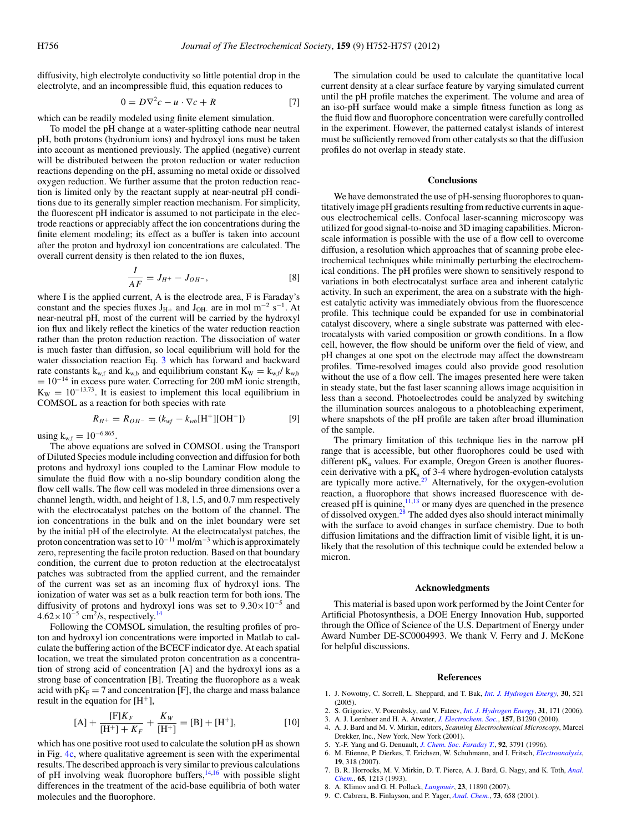diffusivity, high electrolyte conductivity so little potential drop in the electrolyte, and an incompressible fluid, this equation reduces to

$$
0 = D\nabla^2 c - u \cdot \nabla c + R \tag{7}
$$

which can be readily modeled using finite element simulation.

To model the pH change at a water-splitting cathode near neutral pH, both protons (hydronium ions) and hydroxyl ions must be taken into account as mentioned previously. The applied (negative) current will be distributed between the proton reduction or water reduction reactions depending on the pH, assuming no metal oxide or dissolved oxygen reduction. We further assume that the proton reduction reaction is limited only by the reactant supply at near-neutral pH conditions due to its generally simpler reaction mechanism. For simplicity, the fluorescent pH indicator is assumed to not participate in the electrode reactions or appreciably affect the ion concentrations during the finite element modeling; its effect as a buffer is taken into account after the proton and hydroxyl ion concentrations are calculated. The overall current density is then related to the ion fluxes,

$$
\frac{I}{AF} = J_{H^+} - J_{OH^-},
$$
 [8]

where I is the applied current, A is the electrode area, F is Faraday's constant and the species fluxes J<sub>H+</sub> and J<sub>OH</sub> are in mol m<sup>-2</sup> s<sup>-1</sup>. At near-neutral pH, most of the current will be carried by the hydroxyl ion flux and likely reflect the kinetics of the water reduction reaction rather than the proton reduction reaction. The dissociation of water is much faster than diffusion, so local equilibrium will hold for the water dissociation reaction Eq. [3](#page-2-1) which has forward and backward rate constants  $k_{w,f}$  and  $k_{w,b}$  and equilibrium constant  $K_W = k_{w,f}/k_{w,b}$  $= 10^{-14}$  in excess pure water. Correcting for 200 mM ionic strength,  $K_W = 10^{-13.73}$ . It is easiest to implement this local equilibrium in COMSOL as a reaction for both species with rate

$$
R_{H^{+}} = R_{OH^{-}} = (k_{wf} - k_{wb}[\text{H}^{+}][\text{OH}^{-}])
$$
 [9]

using  $k_{w,f} = 10^{-6.865}$ .

The above equations are solved in COMSOL using the Transport of Diluted Species module including convection and diffusion for both protons and hydroxyl ions coupled to the Laminar Flow module to simulate the fluid flow with a no-slip boundary condition along the flow cell walls. The flow cell was modeled in three dimensions over a channel length, width, and height of 1.8, 1.5, and 0.7 mm respectively with the electrocatalyst patches on the bottom of the channel. The ion concentrations in the bulk and on the inlet boundary were set by the initial pH of the electrolyte. At the electrocatalyst patches, the proton concentration was set to  $10^{-11}$  mol/m<sup>-3</sup> which is approximately zero, representing the facile proton reduction. Based on that boundary condition, the current due to proton reduction at the electrocatalyst patches was subtracted from the applied current, and the remainder of the current was set as an incoming flux of hydroxyl ions. The ionization of water was set as a bulk reaction term for both ions. The diffusivity of protons and hydroxyl ions was set to  $9.30 \times 10^{-5}$  and  $4.62\times10^{-5}$  cm<sup>2</sup>/s, respectively.<sup>14</sup>

Following the COMSOL simulation, the resulting profiles of proton and hydroxyl ion concentrations were imported in Matlab to calculate the buffering action of the BCECF indicator dye. At each spatial location, we treat the simulated proton concentration as a concentration of strong acid of concentration [A] and the hydroxyl ions as a strong base of concentration [B]. Treating the fluorophore as a weak acid with  $pK_F = 7$  and concentration [F], the charge and mass balance result in the equation for  $[H^+]$ ,

$$
[A] + \frac{[F]K_F}{[H^+] + K_F} + \frac{K_W}{[H^+]} = [B] + [H^+],
$$
 [10]

which has one positive root used to calculate the solution pH as shown in Fig. [4c,](#page-4-1) where qualitative agreement is seen with the experimental results. The described approach is very similar to previous calculations of pH involving weak fluorophore buffers,<sup>14,[16](#page-6-6)</sup> with possible slight differences in the treatment of the acid-base equilibria of both water molecules and the fluorophore.

The simulation could be used to calculate the quantitative local current density at a clear surface feature by varying simulated current until the pH profile matches the experiment. The volume and area of an iso-pH surface would make a simple fitness function as long as the fluid flow and fluorophore concentration were carefully controlled in the experiment. However, the patterned catalyst islands of interest must be sufficiently removed from other catalysts so that the diffusion profiles do not overlap in steady state.

#### **Conclusions**

We have demonstrated the use of pH-sensing fluorophores to quantitatively image pH gradients resulting from reductive currents in aqueous electrochemical cells. Confocal laser-scanning microscopy was utilized for good signal-to-noise and 3D imaging capabilities. Micronscale information is possible with the use of a flow cell to overcome diffusion, a resolution which approaches that of scanning probe electrochemical techniques while minimally perturbing the electrochemical conditions. The pH profiles were shown to sensitively respond to variations in both electrocatalyst surface area and inherent catalytic activity. In such an experiment, the area on a substrate with the highest catalytic activity was immediately obvious from the fluorescence profile. This technique could be expanded for use in combinatorial catalyst discovery, where a single substrate was patterned with electrocatalysts with varied composition or growth conditions. In a flow cell, however, the flow should be uniform over the field of view, and pH changes at one spot on the electrode may affect the downstream profiles. Time-resolved images could also provide good resolution without the use of a flow cell. The images presented here were taken in steady state, but the fast laser scanning allows image acquisition in less than a second. Photoelectrodes could be analyzed by switching the illumination sources analogous to a photobleaching experiment, where snapshots of the pH profile are taken after broad illumination of the sample.

The primary limitation of this technique lies in the narrow pH range that is accessible, but other fluorophores could be used with different  $pK_a$  values. For example, Oregon Green is another fluorescein derivative with a p $K_a$  of 3-4 where hydrogen-evolution catalysts are typically more active. $27$  Alternatively, for the oxygen-evolution reaction, a fluorophore that shows increased fluorescence with decreased pH is quinine, $11,13$  $11,13$  or many dyes are quenched in the presence of dissolved oxygen.<sup>[28](#page-6-17)</sup> The added dyes also should interact minimally with the surface to avoid changes in surface chemistry. Due to both diffusion limitations and the diffraction limit of visible light, it is unlikely that the resolution of this technique could be extended below a micron.

#### **Acknowledgments**

This material is based upon work performed by the Joint Center for Artificial Photosynthesis, a DOE Energy Innovation Hub, supported through the Office of Science of the U.S. Department of Energy under Award Number DE-SC0004993. We thank V. Ferry and J. McKone for helpful discussions.

#### <span id="page-5-8"></span><span id="page-5-7"></span><span id="page-5-4"></span><span id="page-5-3"></span><span id="page-5-2"></span><span id="page-5-1"></span>**References**

- 1. J. Nowotny, C. Sorrell, L. Sheppard, and T. Bak, *[Int. J. Hydrogen Energy](http://dx.doi.org/10.1016/j.ijhydene.2004.06.012)*, **30**, 521 (2005).
- <span id="page-5-0"></span>2. S. Grigoriev, V. Porembsky, and V. Fateev, *[Int. J. Hydrogen Energy](http://dx.doi.org/10.1016/j.ijhydene.2005.04.038)*, **31**, 171 (2006).
- 3. A. J. Leenheer and H. A. Atwater, *[J. Electrochem. Soc.](http://dx.doi.org/10.1149/1.3462997)*, **157**, B1290 (2010).
- 4. A. J. Bard and M. V. Mirkin, editors, *Scanning Electrochemical Microscopy*, Marcel
- Drekker, Inc., New York, New York (2001).
- 5. Y.-F. Yang and G. Denuault, *[J. Chem. Soc. Faraday T.](http://dx.doi.org/10.1039/ft9969203791)*, **92**, 3791 (1996).
- 6. M. Etienne, P. Dierkes, T. Erichsen, W. Schuhmann, and I. Fritsch, *[Electroanalysis](http://dx.doi.org/10.1002/elan.200603735)*, **19**, 318 (2007).
- <span id="page-5-5"></span>7. B. R. Horrocks, M. V. Mirkin, D. T. Pierce, A. J. Bard, G. Nagy, and K. Toth, *[Anal.](http://dx.doi.org/10.1021/ac00057a019) [Chem.](http://dx.doi.org/10.1021/ac00057a019)*, **65**, 1213 (1993).
- <span id="page-5-6"></span>8. A. Klimov and G. H. Pollack, *[Langmuir](http://dx.doi.org/10.1021/la701742v)*, **23**, 11890 (2007).
- 9. C. Cabrera, B. Finlayson, and P. Yager, *[Anal. Chem.](http://dx.doi.org/10.1021/ac000495a)*, **73**, 658 (2001).